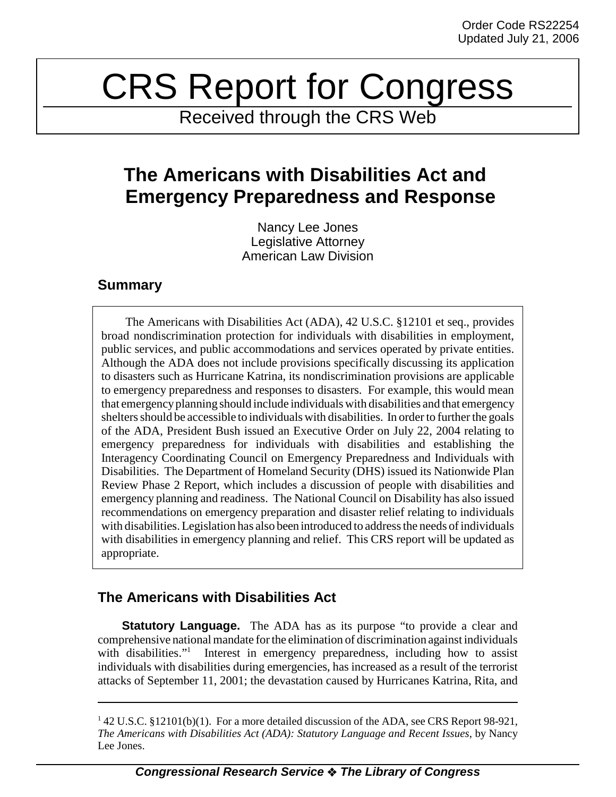# CRS Report for Congress

Received through the CRS Web

# **The Americans with Disabilities Act and Emergency Preparedness and Response**

Nancy Lee Jones Legislative Attorney American Law Division

### **Summary**

The Americans with Disabilities Act (ADA), 42 U.S.C. §12101 et seq., provides broad nondiscrimination protection for individuals with disabilities in employment, public services, and public accommodations and services operated by private entities. Although the ADA does not include provisions specifically discussing its application to disasters such as Hurricane Katrina, its nondiscrimination provisions are applicable to emergency preparedness and responses to disasters. For example, this would mean that emergency planning should include individuals with disabilities and that emergency shelters should be accessible to individuals with disabilities. In order to further the goals of the ADA, President Bush issued an Executive Order on July 22, 2004 relating to emergency preparedness for individuals with disabilities and establishing the Interagency Coordinating Council on Emergency Preparedness and Individuals with Disabilities. The Department of Homeland Security (DHS) issued its Nationwide Plan Review Phase 2 Report, which includes a discussion of people with disabilities and emergency planning and readiness. The National Council on Disability has also issued recommendations on emergency preparation and disaster relief relating to individuals with disabilities. Legislation has also been introduced to address the needs of individuals with disabilities in emergency planning and relief. This CRS report will be updated as appropriate.

## **The Americans with Disabilities Act**

**Statutory Language.** The ADA has as its purpose "to provide a clear and comprehensive national mandate for the elimination of discrimination against individuals with disabilities." Interest in emergency preparedness, including how to assist individuals with disabilities during emergencies, has increased as a result of the terrorist attacks of September 11, 2001; the devastation caused by Hurricanes Katrina, Rita, and

<sup>&</sup>lt;sup>1</sup> 42 U.S.C. §12101(b)(1). For a more detailed discussion of the ADA, see CRS Report 98-921, *The Americans with Disabilities Act (ADA): Statutory Language and Recent Issues*, by Nancy Lee Jones.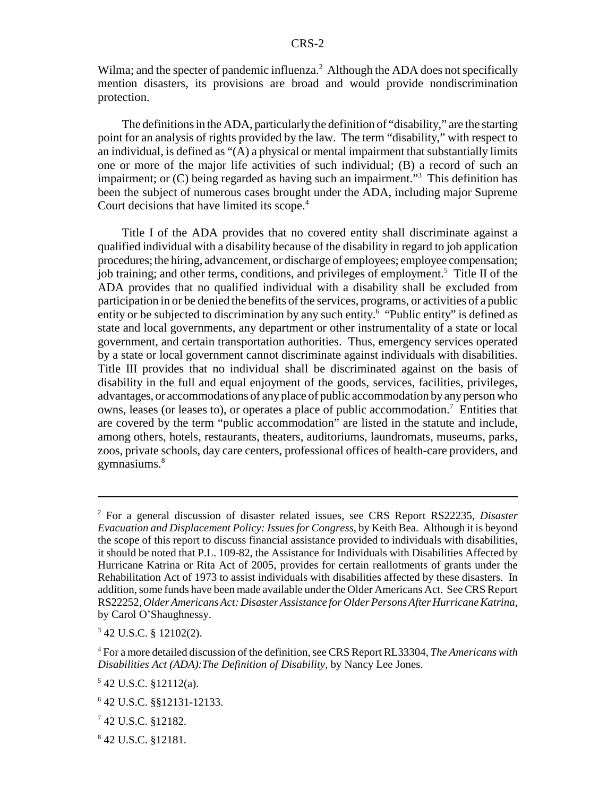Wilma; and the specter of pandemic influenza. $^2$  Although the ADA does not specifically mention disasters, its provisions are broad and would provide nondiscrimination protection.

The definitions in the ADA, particularly the definition of "disability," are the starting point for an analysis of rights provided by the law. The term "disability," with respect to an individual, is defined as "(A) a physical or mental impairment that substantially limits one or more of the major life activities of such individual; (B) a record of such an impairment; or (C) being regarded as having such an impairment."<sup>3</sup> This definition has been the subject of numerous cases brought under the ADA, including major Supreme Court decisions that have limited its scope.<sup>4</sup>

Title I of the ADA provides that no covered entity shall discriminate against a qualified individual with a disability because of the disability in regard to job application procedures; the hiring, advancement, or discharge of employees; employee compensation; job training; and other terms, conditions, and privileges of employment.<sup>5</sup> Title II of the ADA provides that no qualified individual with a disability shall be excluded from participation in or be denied the benefits of the services, programs, or activities of a public entity or be subjected to discrimination by any such entity.<sup>6</sup> "Public entity" is defined as state and local governments, any department or other instrumentality of a state or local government, and certain transportation authorities. Thus, emergency services operated by a state or local government cannot discriminate against individuals with disabilities. Title III provides that no individual shall be discriminated against on the basis of disability in the full and equal enjoyment of the goods, services, facilities, privileges, advantages, or accommodations of any place of public accommodation by any person who owns, leases (or leases to), or operates a place of public accommodation.<sup>7</sup> Entities that are covered by the term "public accommodation" are listed in the statute and include, among others, hotels, restaurants, theaters, auditoriums, laundromats, museums, parks, zoos, private schools, day care centers, professional offices of health-care providers, and gymnasiums.<sup>8</sup>

3 42 U.S.C. § 12102(2).

<sup>2</sup> For a general discussion of disaster related issues, see CRS Report RS22235, *Disaster Evacuation and Displacement Policy: Issues for Congress*, by Keith Bea. Although it is beyond the scope of this report to discuss financial assistance provided to individuals with disabilities, it should be noted that P.L. 109-82, the Assistance for Individuals with Disabilities Affected by Hurricane Katrina or Rita Act of 2005, provides for certain reallotments of grants under the Rehabilitation Act of 1973 to assist individuals with disabilities affected by these disasters. In addition, some funds have been made available under the Older Americans Act. See CRS Report RS22252, *Older Americans Act: Disaster Assistance for Older Persons After Hurricane Katrina*, by Carol O'Shaughnessy.

<sup>4</sup> For a more detailed discussion of the definition, see CRS Report RL33304, *The Americans with Disabilities Act (ADA):The Definition of Disability*, by Nancy Lee Jones.

<sup>5</sup> 42 U.S.C. §12112(a).

<sup>6</sup> 42 U.S.C. §§12131-12133.

<sup>7</sup> 42 U.S.C. §12182.

<sup>8</sup> 42 U.S.C. §12181.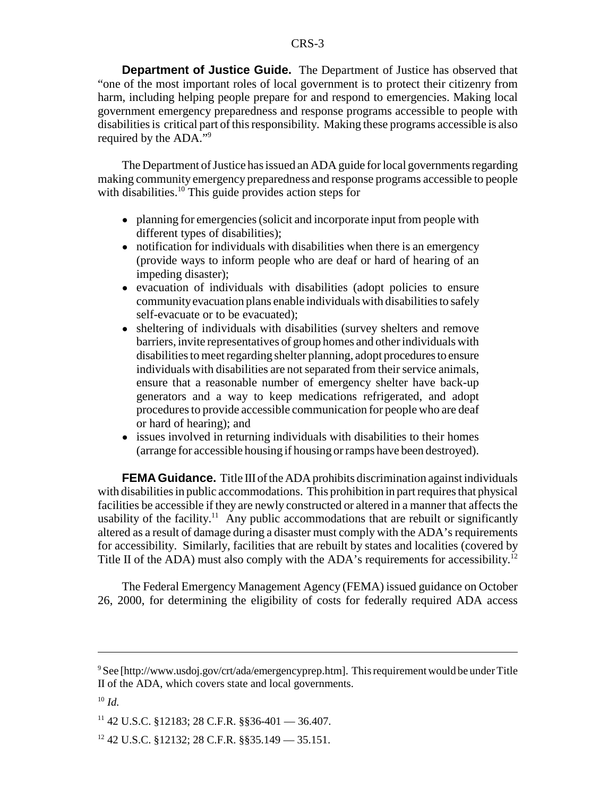**Department of Justice Guide.** The Department of Justice has observed that "one of the most important roles of local government is to protect their citizenry from harm, including helping people prepare for and respond to emergencies. Making local government emergency preparedness and response programs accessible to people with disabilities is critical part of this responsibility. Making these programs accessible is also required by the ADA."<sup>9</sup>

The Department of Justice has issued an ADA guide for local governments regarding making community emergency preparedness and response programs accessible to people with disabilities.<sup>10</sup> This guide provides action steps for

- planning for emergencies (solicit and incorporate input from people with different types of disabilities);
- notification for individuals with disabilities when there is an emergency (provide ways to inform people who are deaf or hard of hearing of an impeding disaster);
- ! evacuation of individuals with disabilities (adopt policies to ensure community evacuation plans enable individuals with disabilities to safely self-evacuate or to be evacuated);
- sheltering of individuals with disabilities (survey shelters and remove barriers, invite representatives of group homes and other individuals with disabilities to meet regarding shelter planning, adopt procedures to ensure individuals with disabilities are not separated from their service animals, ensure that a reasonable number of emergency shelter have back-up generators and a way to keep medications refrigerated, and adopt procedures to provide accessible communication for people who are deaf or hard of hearing); and
- issues involved in returning individuals with disabilities to their homes (arrange for accessible housing if housing or ramps have been destroyed).

**FEMA Guidance.** Title III of the ADA prohibits discrimination against individuals with disabilities in public accommodations. This prohibition in part requires that physical facilities be accessible if they are newly constructed or altered in a manner that affects the usability of the facility.<sup>11</sup> Any public accommodations that are rebuilt or significantly altered as a result of damage during a disaster must comply with the ADA's requirements for accessibility. Similarly, facilities that are rebuilt by states and localities (covered by Title II of the ADA) must also comply with the ADA's requirements for accessibility.<sup>12</sup>

The Federal Emergency Management Agency (FEMA) issued guidance on October 26, 2000, for determining the eligibility of costs for federally required ADA access

<sup>&</sup>lt;sup>9</sup> See [http://www.usdoj.gov/crt/ada/emergencyprep.htm]. This requirement would be under Title II of the ADA, which covers state and local governments.

 $10 \, \text{Id}$ 

 $11$  42 U.S.C. §12183; 28 C.F.R. §§36-401 — 36.407.

 $12$  42 U.S.C. §12132; 28 C.F.R. §§35.149 — 35.151.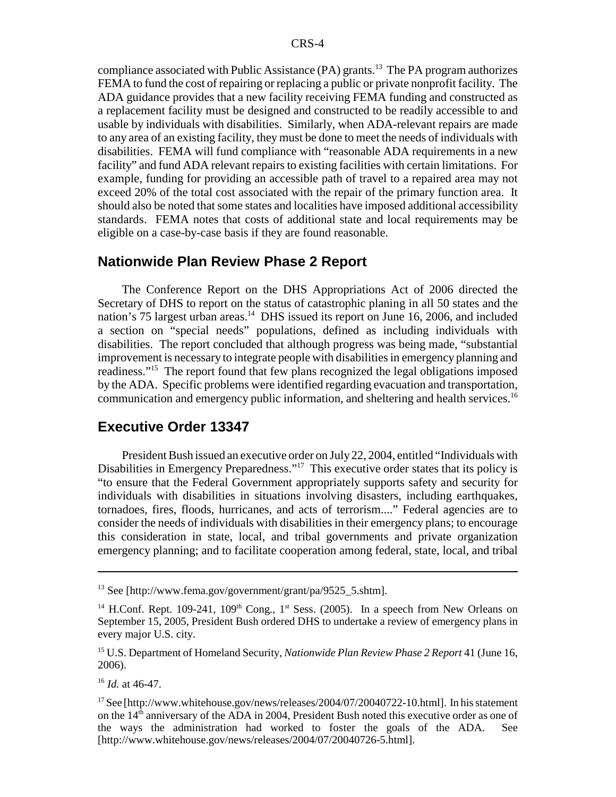compliance associated with Public Assistance  $(PA)$  grants.<sup>13</sup> The PA program authorizes FEMA to fund the cost of repairing or replacing a public or private nonprofit facility. The ADA guidance provides that a new facility receiving FEMA funding and constructed as a replacement facility must be designed and constructed to be readily accessible to and usable by individuals with disabilities. Similarly, when ADA-relevant repairs are made to any area of an existing facility, they must be done to meet the needs of individuals with disabilities. FEMA will fund compliance with "reasonable ADA requirements in a new facility" and fund ADA relevant repairs to existing facilities with certain limitations. For example, funding for providing an accessible path of travel to a repaired area may not exceed 20% of the total cost associated with the repair of the primary function area. It should also be noted that some states and localities have imposed additional accessibility standards. FEMA notes that costs of additional state and local requirements may be eligible on a case-by-case basis if they are found reasonable.

#### **Nationwide Plan Review Phase 2 Report**

The Conference Report on the DHS Appropriations Act of 2006 directed the Secretary of DHS to report on the status of catastrophic planing in all 50 states and the nation's 75 largest urban areas.<sup>14</sup> DHS issued its report on June 16, 2006, and included a section on "special needs" populations, defined as including individuals with disabilities. The report concluded that although progress was being made, "substantial improvement is necessary to integrate people with disabilities in emergency planning and readiness."15 The report found that few plans recognized the legal obligations imposed by the ADA. Specific problems were identified regarding evacuation and transportation, communication and emergency public information, and sheltering and health services.16

#### **Executive Order 13347**

President Bush issued an executive order on July 22, 2004, entitled "Individuals with Disabilities in Emergency Preparedness."<sup>17</sup> This executive order states that its policy is "to ensure that the Federal Government appropriately supports safety and security for individuals with disabilities in situations involving disasters, including earthquakes, tornadoes, fires, floods, hurricanes, and acts of terrorism...." Federal agencies are to consider the needs of individuals with disabilities in their emergency plans; to encourage this consideration in state, local, and tribal governments and private organization emergency planning; and to facilitate cooperation among federal, state, local, and tribal

<sup>16</sup> *Id.* at 46-47.

<sup>&</sup>lt;sup>13</sup> See [http://www.fema.gov/government/grant/pa/9525\_5.shtm].

<sup>&</sup>lt;sup>14</sup> H.Conf. Rept. 109-241, 109<sup>th</sup> Cong., 1<sup>st</sup> Sess. (2005). In a speech from New Orleans on September 15, 2005, President Bush ordered DHS to undertake a review of emergency plans in every major U.S. city.

<sup>15</sup> U.S. Department of Homeland Security, *Nationwide Plan Review Phase 2 Report* 41 (June 16, 2006).

<sup>17</sup> See [http://www.whitehouse.gov/news/releases/2004/07/20040722-10.html]. In his statement on the 14th anniversary of the ADA in 2004, President Bush noted this executive order as one of the ways the administration had worked to foster the goals of the ADA. See [http://www.whitehouse.gov/news/releases/2004/07/20040726-5.html].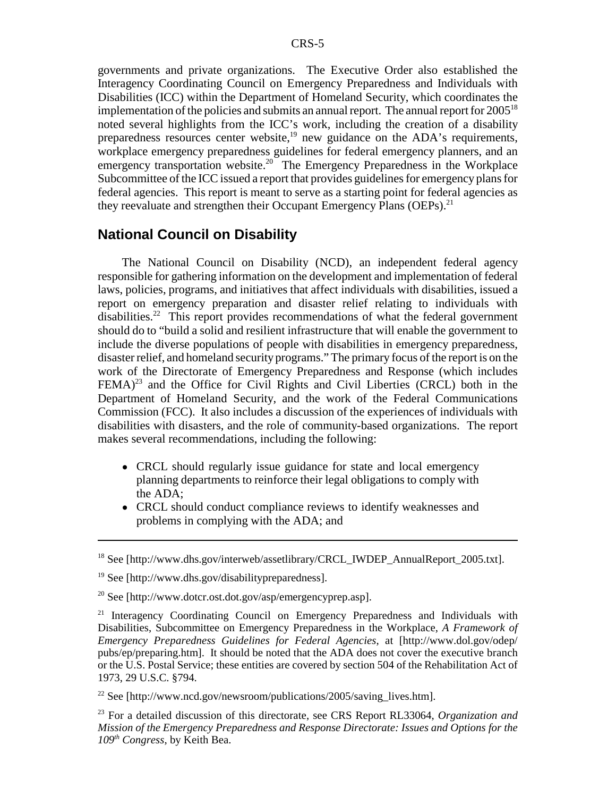governments and private organizations. The Executive Order also established the Interagency Coordinating Council on Emergency Preparedness and Individuals with Disabilities (ICC) within the Department of Homeland Security, which coordinates the implementation of the policies and submits an annual report. The annual report for  $2005^{18}$ noted several highlights from the ICC's work, including the creation of a disability preparedness resources center website, $19$  new guidance on the ADA's requirements, workplace emergency preparedness guidelines for federal emergency planners, and an emergency transportation website.<sup>20</sup> The Emergency Preparedness in the Workplace Subcommittee of the ICC issued a report that provides guidelines for emergency plans for federal agencies. This report is meant to serve as a starting point for federal agencies as they reevaluate and strengthen their Occupant Emergency Plans (OEPs).<sup>21</sup>

#### **National Council on Disability**

The National Council on Disability (NCD), an independent federal agency responsible for gathering information on the development and implementation of federal laws, policies, programs, and initiatives that affect individuals with disabilities, issued a report on emergency preparation and disaster relief relating to individuals with disabilities.<sup>22</sup> This report provides recommendations of what the federal government should do to "build a solid and resilient infrastructure that will enable the government to include the diverse populations of people with disabilities in emergency preparedness, disaster relief, and homeland security programs." The primary focus of the report is on the work of the Directorate of Emergency Preparedness and Response (which includes  $FEMA$ <sup>23</sup> and the Office for Civil Rights and Civil Liberties (CRCL) both in the Department of Homeland Security, and the work of the Federal Communications Commission (FCC). It also includes a discussion of the experiences of individuals with disabilities with disasters, and the role of community-based organizations. The report makes several recommendations, including the following:

- CRCL should regularly issue guidance for state and local emergency planning departments to reinforce their legal obligations to comply with the ADA;
- CRCL should conduct compliance reviews to identify weaknesses and problems in complying with the ADA; and

<sup>22</sup> See [http://www.ncd.gov/newsroom/publications/2005/saving\_lives.htm].

23 For a detailed discussion of this directorate, see CRS Report RL33064, *Organization and Mission of the Emergency Preparedness and Response Directorate: Issues and Options for the 109th Congress*, by Keith Bea.

<sup>&</sup>lt;sup>18</sup> See [http://www.dhs.gov/interweb/assetlibrary/CRCL\_IWDEP\_AnnualReport\_2005.txt].

<sup>19</sup> See [http://www.dhs.gov/disabilitypreparedness].

<sup>20</sup> See [http://www.dotcr.ost.dot.gov/asp/emergencyprep.asp].

 $21$  Interagency Coordinating Council on Emergency Preparedness and Individuals with Disabilities, Subcommittee on Emergency Preparedness in the Workplace, *A Framework of Emergency Preparedness Guidelines for Federal Agencies*, at [http://www.dol.gov/odep/ pubs/ep/preparing.htm]. It should be noted that the ADA does not cover the executive branch or the U.S. Postal Service; these entities are covered by section 504 of the Rehabilitation Act of 1973, 29 U.S.C. §794.